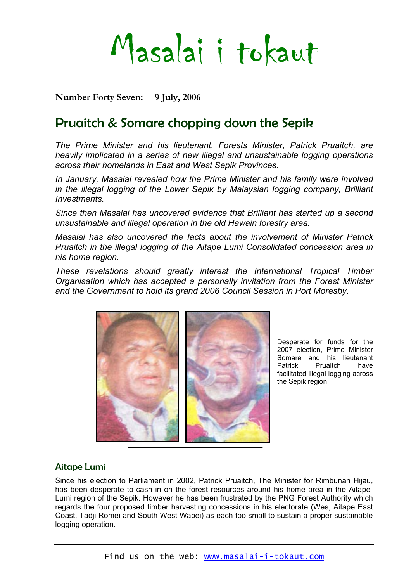# Masalai i tokaut

**Number Forty Seven: 9 July, 2006** 

# Pruaitch & Somare chopping down the Sepik

*The Prime Minister and his lieutenant, Forests Minister, Patrick Pruaitch, are heavily implicated in a series of new illegal and unsustainable logging operations across their homelands in East and West Sepik Provinces.* 

*In January, Masalai revealed how the Prime Minister and his family were involved in the illegal logging of the Lower Sepik by Malaysian logging company, Brilliant Investments.* 

*Since then Masalai has uncovered evidence that Brilliant has started up a second unsustainable and illegal operation in the old Hawain forestry area.* 

*Masalai has also uncovered the facts about the involvement of Minister Patrick Pruaitch in the illegal logging of the Aitape Lumi Consolidated concession area in his home region.* 

*These revelations should greatly interest the International Tropical Timber Organisation which has accepted a personally invitation from the Forest Minister and the Government to hold its grand 2006 Council Session in Port Moresby.* 



Desperate for funds for the 2007 election, Prime Minister Somare and his lieutenant Patrick Pruaitch have facilitated illegal logging across the Sepik region.

# Aitape Lumi

Since his election to Parliament in 2002, Patrick Pruaitch, The Minister for Rimbunan Hijau, has been desperate to cash in on the forest resources around his home area in the Aitape-Lumi region of the Sepik. However he has been frustrated by the PNG Forest Authority which regards the four proposed timber harvesting concessions in his electorate (Wes, Aitape East Coast, Tadji Romei and South West Wapei) as each too small to sustain a proper sustainable logging operation.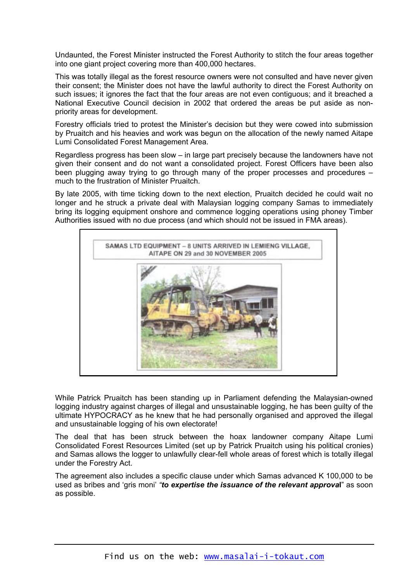Undaunted, the Forest Minister instructed the Forest Authority to stitch the four areas together into one giant project covering more than 400,000 hectares.

This was totally illegal as the forest resource owners were not consulted and have never given their consent; the Minister does not have the lawful authority to direct the Forest Authority on such issues; it ignores the fact that the four areas are not even contiguous; and it breached a National Executive Council decision in 2002 that ordered the areas be put aside as nonpriority areas for development.

Forestry officials tried to protest the Minister's decision but they were cowed into submission by Pruaitch and his heavies and work was begun on the allocation of the newly named Aitape Lumi Consolidated Forest Management Area.

Regardless progress has been slow – in large part precisely because the landowners have not given their consent and do not want a consolidated project. Forest Officers have been also been plugging away trying to go through many of the proper processes and procedures – much to the frustration of Minister Pruaitch.

By late 2005, with time ticking down to the next election, Pruaitch decided he could wait no longer and he struck a private deal with Malaysian logging company Samas to immediately bring its logging equipment onshore and commence logging operations using phoney Timber Authorities issued with no due process (and which should not be issued in FMA areas).



While Patrick Pruaitch has been standing up in Parliament defending the Malaysian-owned logging industry against charges of illegal and unsustainable logging, he has been guilty of the ultimate HYPOCRACY as he knew that he had personally organised and approved the illegal and unsustainable logging of his own electorate!

The deal that has been struck between the hoax landowner company Aitape Lumi Consolidated Forest Resources Limited (set up by Patrick Pruaitch using his political cronies) and Samas allows the logger to unlawfully clear-fell whole areas of forest which is totally illegal under the Forestry Act.

The agreement also includes a specific clause under which Samas advanced K 100,000 to be used as bribes and 'gris moni' *"to expertise the issuance of the relevant approva***l**" as soon as possible.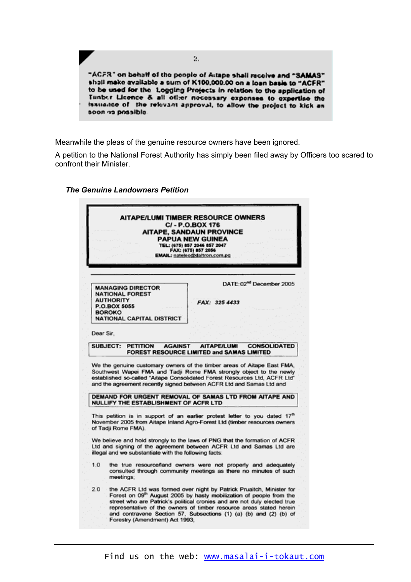

Meanwhile the pleas of the genuine resource owners have been ignored.

A petition to the National Forest Authority has simply been filed away by Officers too scared to confront their Minister.

#### **AITAPE/LUMI TIMBER RESOURCE OWNERS** C/-P.O.BOX 176 **AITAPE, SANDAUN PROVINCE PAPUA NEW GUINEA** TEL: (675) 857 2046 857 2047 FAX: (675) 857 2056 EMAIL: nateleo@daltron.com.pg DATE: 02<sup>nd</sup> December 2005 **MANAGING DIRECTOR NATIONAL FOREST AUTHORITY** FAX: 325 4433 P.O.BOX 5055 **BOROKO NATIONAL CAPITAL DISTRICT** Dear Sir. SUBJECT: PETITION AITAPEA LIMI CONSOLIDATED **AGAINST** FOREST RESOURCE LIMITED and SAMAS LIMITED We the genuine customary owners of the timber areas of Aitape East FMA, Southwest Wapei FMA and Tadji Rome FMA strongly object to the newly established so-called "Aitape Consolidated Forest Resources Ltd, ACFR Ltd" and the agreement recently signed between ACFR Ltd and Samas Ltd and DEMAND FOR URGENT REMOVAL OF SAMAS LTD FROM AITAPE AND NULLIFY THE ESTABLISHMENT OF ACFR LTD This petition is in support of an earlier protest letter to you dated 17<sup>th</sup> November 2005 from Aitape Inland Agro-Forest Ltd (timber resources owners of Tadji Rome FMA). We believe and hold strongly to the laws of PNG that the formation of ACFR Ltd and signing of the agreement between ACFR Ltd and Samas Ltd are illegal and we substantiate with the following facts:  $1.0$ the true resource/land owners were not properly and adequately consulted through community meetings as there no minutes of such meetings; the ACFR Ltd was formed over night by Patrick Pruaitch, Minister for<br>Forest on 09<sup>th</sup> August 2005 by hasty mobilization of people from the  $20<sup>1</sup>$ street who are Patrick's political cronies and are not duly elected true representative of the owners of timber resource areas stated herein and contravene Section 57, Subsections (1) (a) (b) and (2) (b) of Forestry (Amendment) Act 1993;

#### *The Genuine Landowners Petition*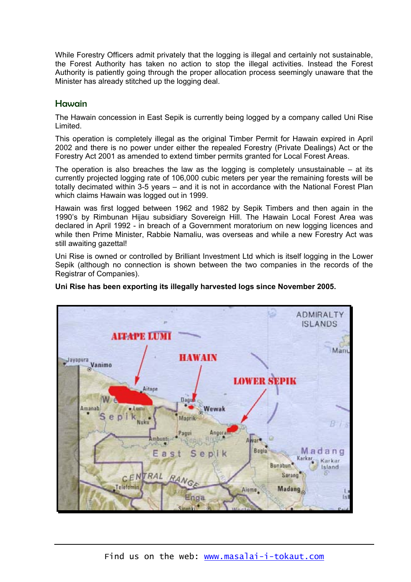While Forestry Officers admit privately that the logging is illegal and certainly not sustainable, the Forest Authority has taken no action to stop the illegal activities. Instead the Forest Authority is patiently going through the proper allocation process seemingly unaware that the Minister has already stitched up the logging deal.

# Hawain

The Hawain concession in East Sepik is currently being logged by a company called Uni Rise Limited.

This operation is completely illegal as the original Timber Permit for Hawain expired in April 2002 and there is no power under either the repealed Forestry (Private Dealings) Act or the Forestry Act 2001 as amended to extend timber permits granted for Local Forest Areas.

The operation is also breaches the law as the logging is completely unsustainable  $-$  at its currently projected logging rate of 106,000 cubic meters per year the remaining forests will be totally decimated within 3-5 years – and it is not in accordance with the National Forest Plan which claims Hawain was logged out in 1999.

Hawain was first logged between 1962 and 1982 by Sepik Timbers and then again in the 1990's by Rimbunan Hijau subsidiary Sovereign Hill. The Hawain Local Forest Area was declared in April 1992 - in breach of a Government moratorium on new logging licences and while then Prime Minister, Rabbie Namaliu, was overseas and while a new Forestry Act was still awaiting gazettal!

Uni Rise is owned or controlled by Brilliant Investment Ltd which is itself logging in the Lower Sepik (although no connection is shown between the two companies in the records of the Registrar of Companies).



#### **Uni Rise has been exporting its illegally harvested logs since November 2005.**